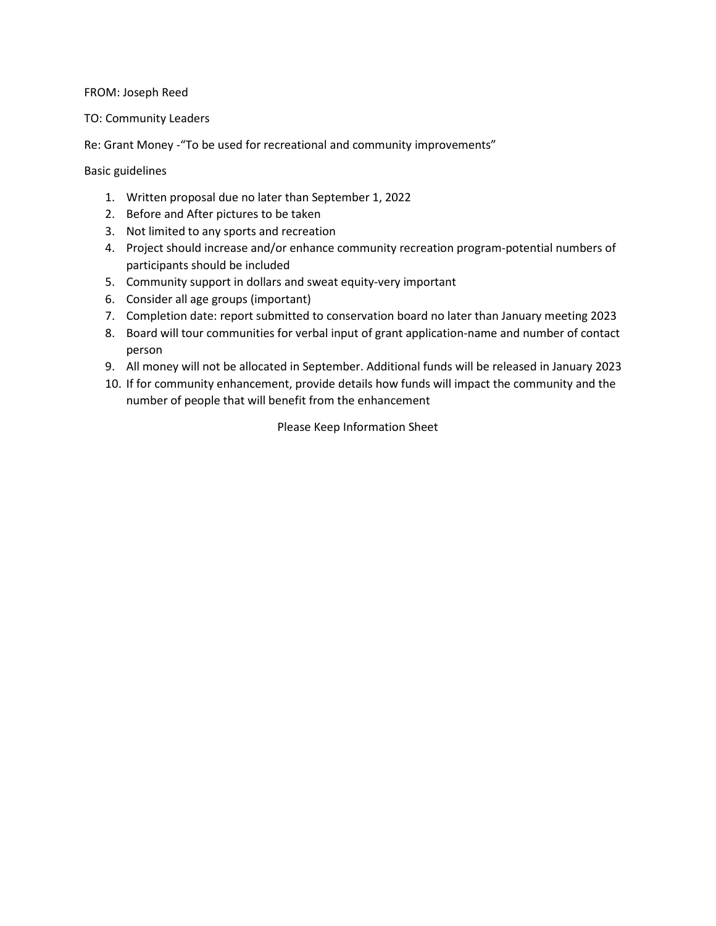## FROM: Joseph Reed

## TO: Community Leaders

Re: Grant Money -"To be used for recreational and community improvements"

Basic guidelines

- 1. Written proposal due no later than September 1, 2022
- 2. Before and After pictures to be taken
- 3. Not limited to any sports and recreation
- 4. Project should increase and/or enhance community recreation program-potential numbers of participants should be included
- 5. Community support in dollars and sweat equity-very important
- 6. Consider all age groups (important)
- 7. Completion date: report submitted to conservation board no later than January meeting 2023
- 8. Board will tour communities for verbal input of grant application-name and number of contact person
- 9. All money will not be allocated in September. Additional funds will be released in January 2023
- 10. If for community enhancement, provide details how funds will impact the community and the number of people that will benefit from the enhancement

Please Keep Information Sheet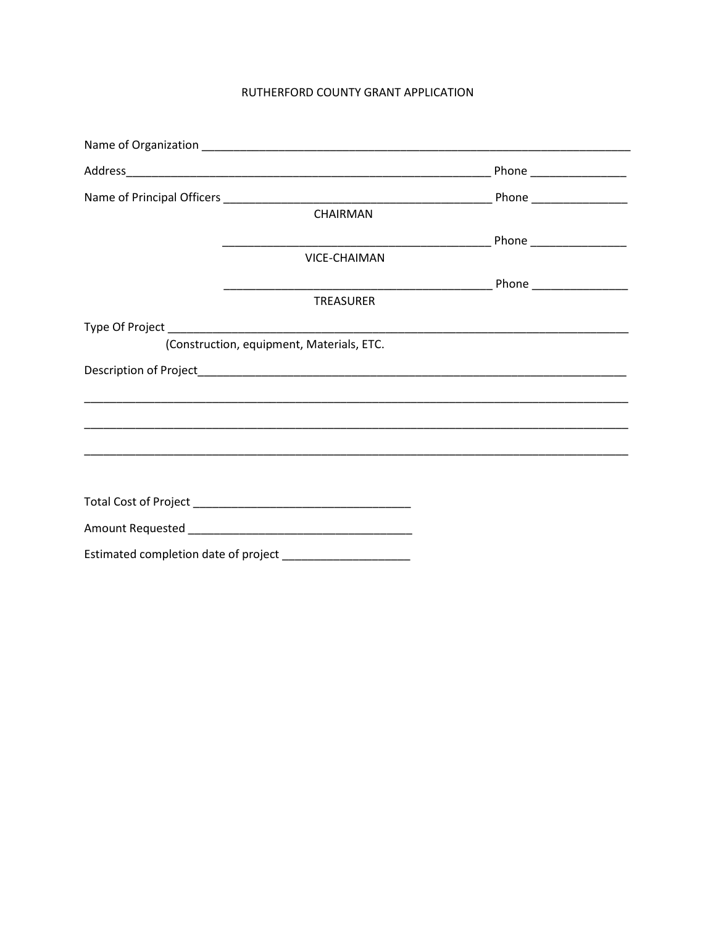## RUTHERFORD COUNTY GRANT APPLICATION

|                                                              | CHAIRMAN                                  |  |
|--------------------------------------------------------------|-------------------------------------------|--|
|                                                              |                                           |  |
|                                                              | <b>VICE-CHAIMAN</b>                       |  |
|                                                              |                                           |  |
|                                                              | <b>TREASURER</b>                          |  |
|                                                              |                                           |  |
|                                                              | (Construction, equipment, Materials, ETC. |  |
|                                                              |                                           |  |
|                                                              |                                           |  |
|                                                              |                                           |  |
|                                                              |                                           |  |
|                                                              |                                           |  |
|                                                              |                                           |  |
|                                                              |                                           |  |
|                                                              |                                           |  |
| Estimated completion date of project _______________________ |                                           |  |